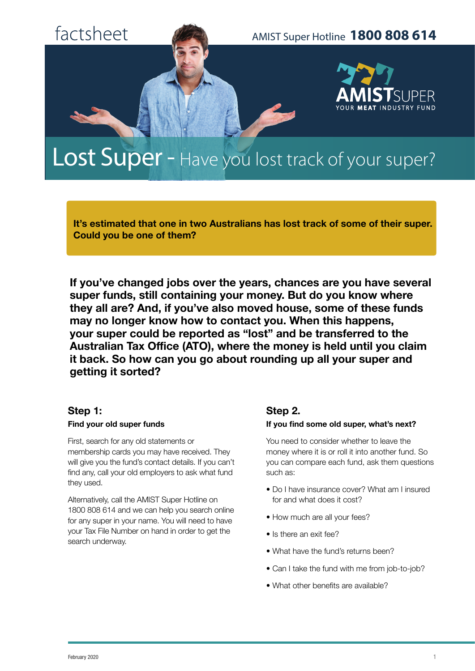

# Lost Super - Have you lost track of your super?

**It's estimated that one in two Australians has lost track of some of their super. Could you be one of them?**

**If you've changed jobs over the years, chances are you have several super funds, still containing your money. But do you know where they all are? And, if you've also moved house, some of these funds may no longer know how to contact you. When this happens, your super could be reported as "lost" and be transferred to the Australian Tax Office (ATO), where the money is held until you claim it back. So how can you go about rounding up all your super and getting it sorted?**

#### **Step 1:**

#### **Find your old super funds**

First, search for any old statements or membership cards you may have received. They will give you the fund's contact details. If you can't find any, call your old employers to ask what fund they used.

Alternatively, call the AMIST Super Hotline on 1800 808 614 and we can help you search online for any super in your name. You will need to have your Tax File Number on hand in order to get the search underway.

### **Step 2.**

#### **If you find some old super, what's next?**

You need to consider whether to leave the money where it is or roll it into another fund. So you can compare each fund, ask them questions such as:

- Do I have insurance cover? What am I insured for and what does it cost?
- How much are all your fees?
- Is there an exit fee?
- What have the fund's returns been?
- Can I take the fund with me from job-to-job?
- What other benefits are available?